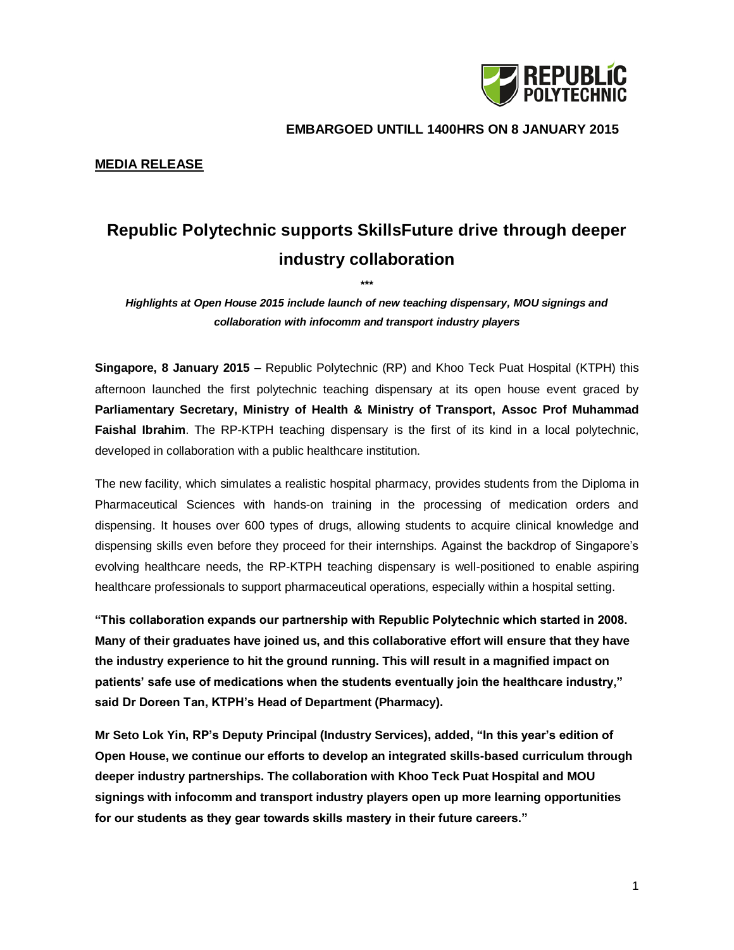

 **EMBARGOED UNTILL 1400HRS ON 8 JANUARY 2015**

## **MEDIA RELEASE**

## **Republic Polytechnic supports SkillsFuture drive through deeper industry collaboration**

**\*\*\***

*Highlights at Open House 2015 include launch of new teaching dispensary, MOU signings and collaboration with infocomm and transport industry players*

**Singapore, 8 January 2015 –** Republic Polytechnic (RP) and Khoo Teck Puat Hospital (KTPH) this afternoon launched the first polytechnic teaching dispensary at its open house event graced by **Parliamentary Secretary, Ministry of Health & Ministry of Transport, Assoc Prof Muhammad Faishal Ibrahim**. The RP-KTPH teaching dispensary is the first of its kind in a local polytechnic, developed in collaboration with a public healthcare institution.

The new facility, which simulates a realistic hospital pharmacy, provides students from the Diploma in Pharmaceutical Sciences with hands-on training in the processing of medication orders and dispensing. It houses over 600 types of drugs, allowing students to acquire clinical knowledge and dispensing skills even before they proceed for their internships. Against the backdrop of Singapore's evolving healthcare needs, the RP-KTPH teaching dispensary is well-positioned to enable aspiring healthcare professionals to support pharmaceutical operations, especially within a hospital setting.

**"This collaboration expands our partnership with Republic Polytechnic which started in 2008. Many of their graduates have joined us, and this collaborative effort will ensure that they have the industry experience to hit the ground running. This will result in a magnified impact on patients' safe use of medications when the students eventually join the healthcare industry," said Dr Doreen Tan, KTPH's Head of Department (Pharmacy).**

**Mr Seto Lok Yin, RP's Deputy Principal (Industry Services), added, "In this year's edition of Open House, we continue our efforts to develop an integrated skills-based curriculum through deeper industry partnerships. The collaboration with Khoo Teck Puat Hospital and MOU signings with infocomm and transport industry players open up more learning opportunities for our students as they gear towards skills mastery in their future careers."**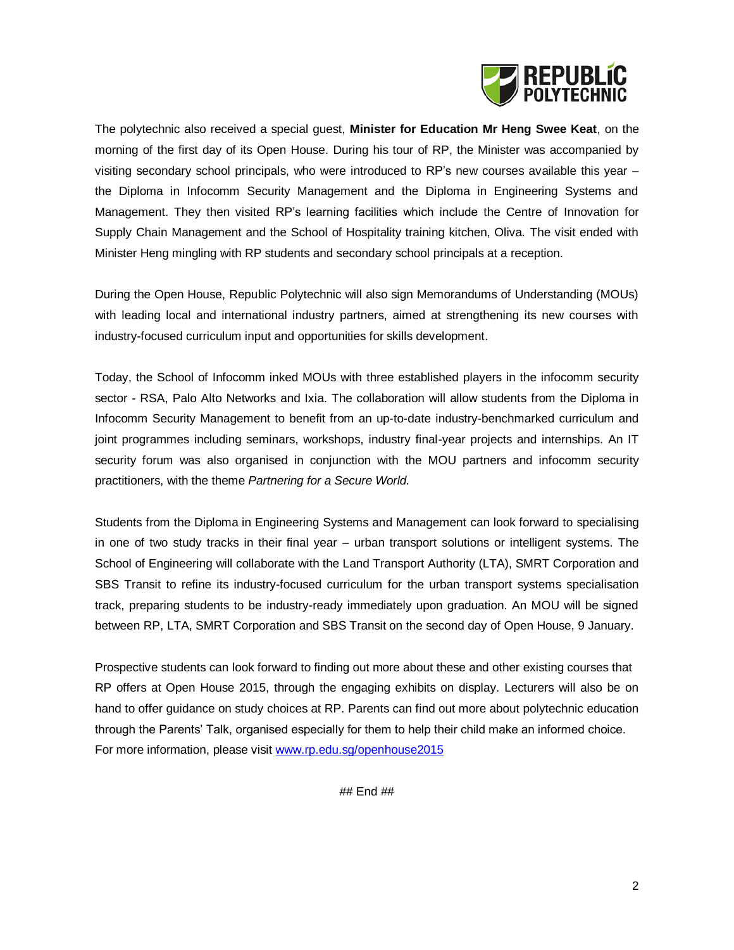

The polytechnic also received a special guest, **Minister for Education Mr Heng Swee Keat**, on the morning of the first day of its Open House. During his tour of RP, the Minister was accompanied by visiting secondary school principals, who were introduced to RP's new courses available this year – the Diploma in Infocomm Security Management and the Diploma in Engineering Systems and Management. They then visited RP's learning facilities which include the Centre of Innovation for Supply Chain Management and the School of Hospitality training kitchen, Oliva. The visit ended with Minister Heng mingling with RP students and secondary school principals at a reception.

During the Open House, Republic Polytechnic will also sign Memorandums of Understanding (MOUs) with leading local and international industry partners, aimed at strengthening its new courses with industry-focused curriculum input and opportunities for skills development.

Today, the School of Infocomm inked MOUs with three established players in the infocomm security sector - RSA, Palo Alto Networks and Ixia. The collaboration will allow students from the Diploma in Infocomm Security Management to benefit from an up-to-date industry-benchmarked curriculum and joint programmes including seminars, workshops, industry final-year projects and internships. An IT security forum was also organised in conjunction with the MOU partners and infocomm security practitioners, with the theme *Partnering for a Secure World.*

Students from the Diploma in Engineering Systems and Management can look forward to specialising in one of two study tracks in their final year – urban transport solutions or intelligent systems. The School of Engineering will collaborate with the Land Transport Authority (LTA), SMRT Corporation and SBS Transit to refine its industry-focused curriculum for the urban transport systems specialisation track, preparing students to be industry-ready immediately upon graduation. An MOU will be signed between RP, LTA, SMRT Corporation and SBS Transit on the second day of Open House, 9 January.

Prospective students can look forward to finding out more about these and other existing courses that RP offers at Open House 2015, through the engaging exhibits on display. Lecturers will also be on hand to offer guidance on study choices at RP. Parents can find out more about polytechnic education through the Parents' Talk, organised especially for them to help their child make an informed choice. For more information, please visit [www.rp.edu.sg/openhouse2015](http://www.rp.edu.sg/openhouse2015)

## End ##